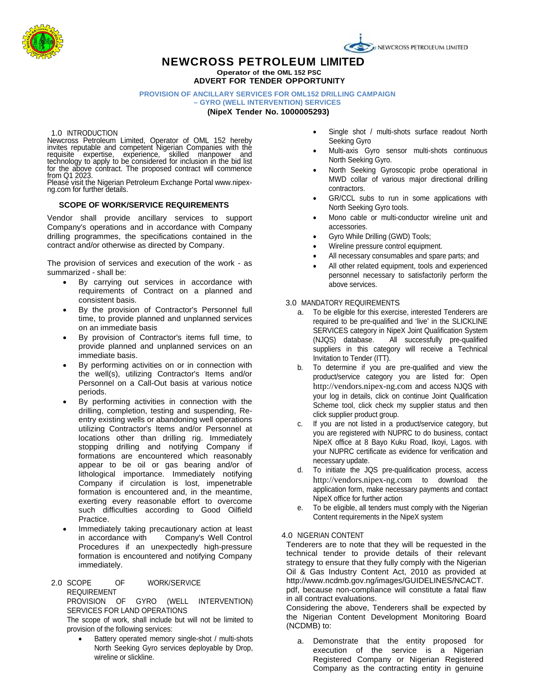

# **NEWCROSS PETROLEUM LIMITED Operator of the OML 152 PSC**

**ADVERT FOR TENDER OPPORTUNITY**

#### **PROVISION OF ANCILLARY SERVICES FOR OML152 DRILLING CAMPAIGN – GYRO (WELL INTERVENTION) SERVICES**

**(NipeX Tender No. 1000005293)**

#### 1.0 INTRODUCTION

Newcross Petroleum Limited, Operator of OML 152 hereby invites reputable and competent Nigerian Companies with the requisite expertise, experience, skilled manpower and technology to apply to be considered for inclusion in the bid list

for the above contract. The proposed contract will commence<br>from Q1 2023.<br>Please visit the Nigerian Petroleum Exchange Portal www.nipex-<br>ng.com for further details.

## **SCOPE OF WORK/SERVICE REQUIREMENTS**

Vendor shall provide ancillary services to support Company's operations and in accordance with Company drilling programmes, the specifications contained in the contract and/or otherwise as directed by Company.

The provision of services and execution of the work - as summarized - shall be:

- By carrying out services in accordance with requirements of Contract on a planned and consistent basis.
- By the provision of Contractor's Personnel full time, to provide planned and unplanned services on an immediate basis
- By provision of Contractor's items full time, to provide planned and unplanned services on an immediate basis.
- By performing activities on or in connection with the well(s), utilizing Contractor's Items and/or Personnel on a Call-Out basis at various notice periods.
- By performing activities in connection with the drilling, completion, testing and suspending, Reentry existing wells or abandoning well operations utilizing Contractor's Items and/or Personnel at locations other than drilling rig. Immediately stopping drilling and notifying Company if formations are encountered which reasonably appear to be oil or gas bearing and/or of lithological importance. Immediately notifying Company if circulation is lost, impenetrable formation is encountered and, in the meantime, exerting every reasonable effort to overcome such difficulties according to Good Oilfield Practice.
- Immediately taking precautionary action at least<br>in accordance with Company's Well Control Company's Well Control Procedures if an unexpectedly high-pressure formation is encountered and notifying Company immediately.

#### 2.0 SCOPE OF WORK/SERVICE REQUIREMENT PROVISION OF GYRO (WELL INTERVENTION) SERVICES FOR LAND OPERATIONS

The scope of work, shall include but will not be limited to provision of the following services:

Battery operated memory single-shot / multi-shots North Seeking Gyro services deployable by Drop, wireline or slickline.

- Single shot / multi-shots surface readout North Seeking Gyro
- Multi-axis Gyro sensor multi-shots continuous North Seeking Gyro.
- North Seeking Gyroscopic probe operational in MWD collar of various major directional drilling contractors.
- GR/CCL subs to run in some applications with North Seeking Gyro tools.
- Mono cable or multi-conductor wireline unit and accessories.
- Gyro While Drilling (GWD) Tools;
- Wireline pressure control equipment.
- All necessary consumables and spare parts; and
- All other related equipment, tools and experienced personnel necessary to satisfactorily perform the above services.

#### 3.0 MANDATORY REQUIREMENTS

- a. To be eligible for this exercise, interested Tenderers are required to be pre-qualified and 'live' in the SLICKLINE SERVICES category in NipeX Joint Qualification System (NJQS) database. All successfully pre-qualified suppliers in this category will receive a Technical Invitation to Tender (ITT).
- b. To determine if you are pre-qualified and view the product/service category you are listed for: Open [http://vendors.nipex-ng.com](http://vendors.nipex-ng.com/) and access NJQS with your log in details, click on continue Joint Qualification Scheme tool, click check my supplier status and then click supplier product group.
- c. If you are not listed in a product/service category, but you are registered with NUPRC to do business, contact NipeX office at 8 Bayo Kuku Road, Ikoyi, Lagos. with your NUPRC certificate as evidence for verification and necessary update.
- d. To initiate the JQS pre-qualification process, access [http://vendors.nipex-ng.com](http://vendors.nipex-ng.com/) to download the application form, make necessary payments and contact NipeX office for further action
- e. To be eligible, all tenders must comply with the Nigerian Content requirements in the NipeX system

## 4.0 NIGERIAN CONTENT

Tenderers are to note that they will be requested in the technical tender to provide details of their relevant strategy to ensure that they fully comply with the Nigerian Oil & Gas Industry Content Act, 2010 as provided at http://www.ncdmb.gov.ng/images/GUIDELINES/NCACT. pdf, because non-compliance will constitute a fatal flaw

in all contract evaluations.

Considering the above, Tenderers shall be expected by the Nigerian Content Development Monitoring Board (NCDMB) to:

a. Demonstrate that the entity proposed for execution of the service is a Nigerian Registered Company or Nigerian Registered Company as the contracting entity in genuine